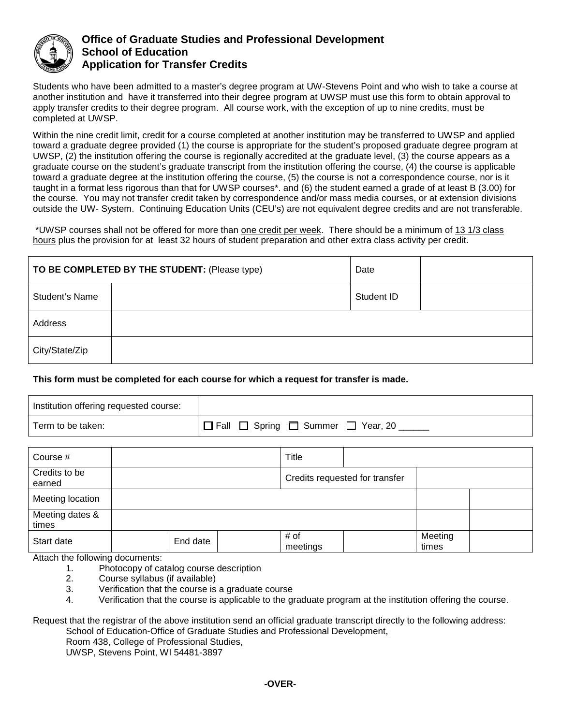

## **Office of Graduate Studies and Professional Development School of Education Application for Transfer Credits**

Students who have been admitted to a master's degree program at UW-Stevens Point and who wish to take a course at another institution and have it transferred into their degree program at UWSP must use this form to obtain approval to apply transfer credits to their degree program. All course work, with the exception of up to nine credits, must be completed at UWSP.

Within the nine credit limit, credit for a course completed at another institution may be transferred to UWSP and applied toward a graduate degree provided (1) the course is appropriate for the student's proposed graduate degree program at UWSP, (2) the institution offering the course is regionally accredited at the graduate level, (3) the course appears as a graduate course on the student's graduate transcript from the institution offering the course, (4) the course is applicable toward a graduate degree at the institution offering the course, (5) the course is not a correspondence course, nor is it taught in a format less rigorous than that for UWSP courses\*. and (6) the student earned a grade of at least B (3.00) for the course. You may not transfer credit taken by correspondence and/or mass media courses, or at extension divisions outside the UW- System. Continuing Education Units (CEU's) are not equivalent degree credits and are not transferable.

\*UWSP courses shall not be offered for more than one credit per week. There should be a minimum of 13 1/3 class hours plus the provision for at least 32 hours of student preparation and other extra class activity per credit.

| TO BE COMPLETED BY THE STUDENT: (Please type) |  | Date       |  |
|-----------------------------------------------|--|------------|--|
| <b>Student's Name</b>                         |  | Student ID |  |
| Address                                       |  |            |  |
| City/State/Zip                                |  |            |  |

## **This form must be completed for each course for which a request for transfer is made.**

| Institution offering requested course: |                                       |
|----------------------------------------|---------------------------------------|
| Term to be taken:                      | 「□ Fall □ Spring □ Summer □ Year, 20」 |

| Course #                 |          | Title                          |  |                  |  |
|--------------------------|----------|--------------------------------|--|------------------|--|
| Credits to be<br>earned  |          | Credits requested for transfer |  |                  |  |
| Meeting location         |          |                                |  |                  |  |
| Meeting dates &<br>times |          |                                |  |                  |  |
| Start date               | End date | # of<br>meetings               |  | Meeting<br>times |  |

Attach the following documents:

- 1. Photocopy of catalog course description<br>2. Course syllabus (if available)
- 2. Course syllabus (if available)
- 3. Verification that the course is a graduate course
- 4. Verification that the course is applicable to the graduate program at the institution offering the course.

Request that the registrar of the above institution send an official graduate transcript directly to the following address: School of Education-Office of Graduate Studies and Professional Development,

Room 438, College of Professional Studies,

UWSP, Stevens Point, WI 54481-3897